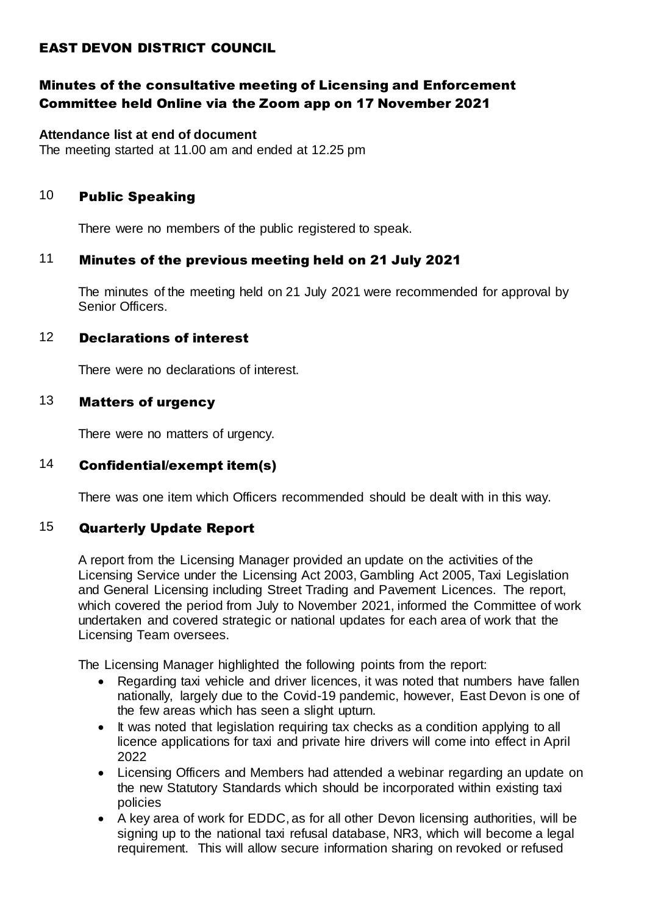# EAST DEVON DISTRICT COUNCIL

# Minutes of the consultative meeting of Licensing and Enforcement Committee held Online via the Zoom app on 17 November 2021

#### **Attendance list at end of document**

The meeting started at 11.00 am and ended at 12.25 pm

## 10 Public Speaking

There were no members of the public registered to speak.

# 11 Minutes of the previous meeting held on 21 July 2021

The minutes of the meeting held on 21 July 2021 were recommended for approval by Senior Officers.

### 12 Declarations of interest

There were no declarations of interest.

# 13 Matters of urgency

There were no matters of urgency.

# 14 Confidential/exempt item(s)

There was one item which Officers recommended should be dealt with in this way.

# 15 Quarterly Update Report

A report from the Licensing Manager provided an update on the activities of the Licensing Service under the Licensing Act 2003, Gambling Act 2005, Taxi Legislation and General Licensing including Street Trading and Pavement Licences. The report, which covered the period from July to November 2021, informed the Committee of work undertaken and covered strategic or national updates for each area of work that the Licensing Team oversees.

The Licensing Manager highlighted the following points from the report:

- Regarding taxi vehicle and driver licences, it was noted that numbers have fallen nationally, largely due to the Covid-19 pandemic, however, East Devon is one of the few areas which has seen a slight upturn.
- It was noted that legislation requiring tax checks as a condition applying to all licence applications for taxi and private hire drivers will come into effect in April 2022
- Licensing Officers and Members had attended a webinar regarding an update on the new Statutory Standards which should be incorporated within existing taxi policies
- A key area of work for EDDC, as for all other Devon licensing authorities, will be signing up to the national taxi refusal database, NR3, which will become a legal requirement. This will allow secure information sharing on revoked or refused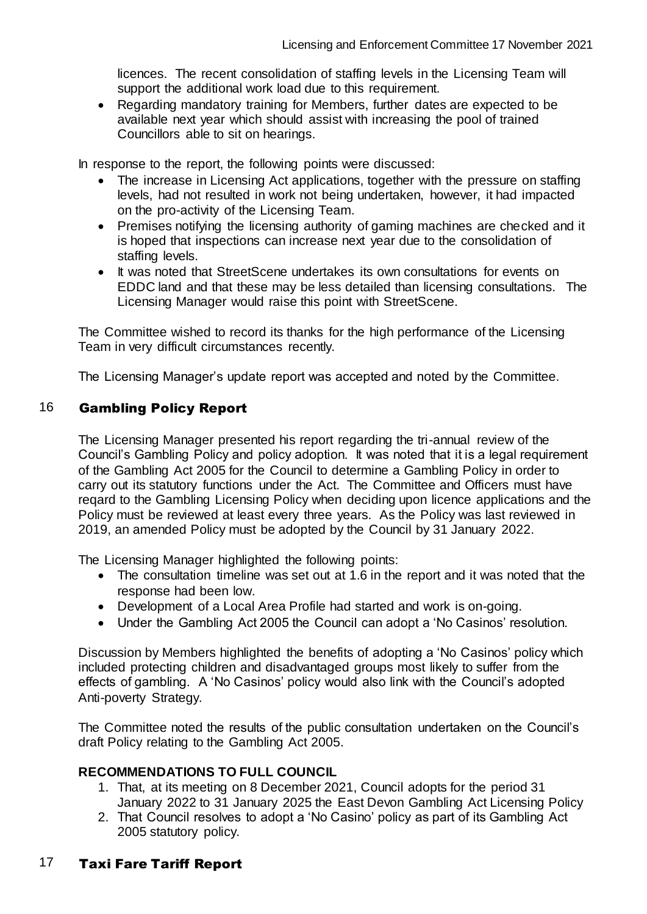licences. The recent consolidation of staffing levels in the Licensing Team will support the additional work load due to this requirement.

• Regarding mandatory training for Members, further dates are expected to be available next year which should assist with increasing the pool of trained Councillors able to sit on hearings.

In response to the report, the following points were discussed:

- The increase in Licensing Act applications, together with the pressure on staffing levels, had not resulted in work not being undertaken, however, it had impacted on the pro-activity of the Licensing Team.
- Premises notifying the licensing authority of gaming machines are checked and it is hoped that inspections can increase next year due to the consolidation of staffing levels.
- It was noted that StreetScene undertakes its own consultations for events on EDDC land and that these may be less detailed than licensing consultations. The Licensing Manager would raise this point with StreetScene.

The Committee wished to record its thanks for the high performance of the Licensing Team in very difficult circumstances recently.

The Licensing Manager's update report was accepted and noted by the Committee.

### 16 Gambling Policy Report

The Licensing Manager presented his report regarding the tri-annual review of the Council's Gambling Policy and policy adoption. It was noted that it is a legal requirement of the Gambling Act 2005 for the Council to determine a Gambling Policy in order to carry out its statutory functions under the Act. The Committee and Officers must have reqard to the Gambling Licensing Policy when deciding upon licence applications and the Policy must be reviewed at least every three years. As the Policy was last reviewed in 2019, an amended Policy must be adopted by the Council by 31 January 2022.

The Licensing Manager highlighted the following points:

- The consultation timeline was set out at 1.6 in the report and it was noted that the response had been low.
- Development of a Local Area Profile had started and work is on-going.
- Under the Gambling Act 2005 the Council can adopt a 'No Casinos' resolution.

Discussion by Members highlighted the benefits of adopting a 'No Casinos' policy which included protecting children and disadvantaged groups most likely to suffer from the effects of gambling. A 'No Casinos' policy would also link with the Council's adopted Anti-poverty Strategy.

The Committee noted the results of the public consultation undertaken on the Council's draft Policy relating to the Gambling Act 2005.

#### **RECOMMENDATIONS TO FULL COUNCIL**

- 1. That, at its meeting on 8 December 2021, Council adopts for the period 31 January 2022 to 31 January 2025 the East Devon Gambling Act Licensing Policy
- 2. That Council resolves to adopt a 'No Casino' policy as part of its Gambling Act 2005 statutory policy.

# 17 Taxi Fare Tariff Report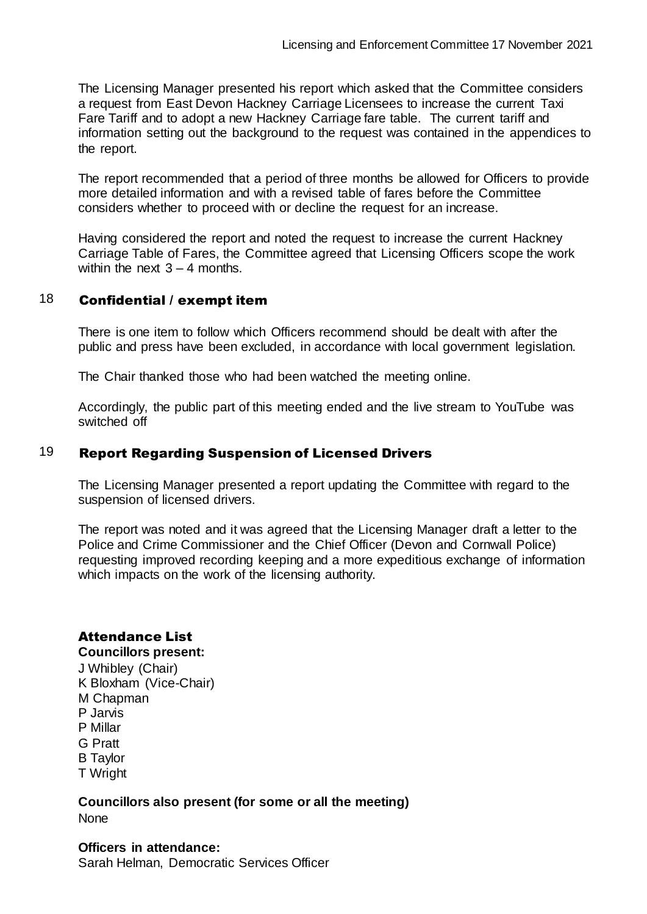The Licensing Manager presented his report which asked that the Committee considers a request from East Devon Hackney Carriage Licensees to increase the current Taxi Fare Tariff and to adopt a new Hackney Carriage fare table. The current tariff and information setting out the background to the request was contained in the appendices to the report.

The report recommended that a period of three months be allowed for Officers to provide more detailed information and with a revised table of fares before the Committee considers whether to proceed with or decline the request for an increase.

Having considered the report and noted the request to increase the current Hackney Carriage Table of Fares, the Committee agreed that Licensing Officers scope the work within the next  $3 - 4$  months.

# 18 Confidential / exempt item

There is one item to follow which Officers recommend should be dealt with after the public and press have been excluded, in accordance with local government legislation.

The Chair thanked those who had been watched the meeting online.

Accordingly, the public part of this meeting ended and the live stream to YouTube was switched off

### 19 Report Regarding Suspension of Licensed Drivers

The Licensing Manager presented a report updating the Committee with regard to the suspension of licensed drivers.

The report was noted and it was agreed that the Licensing Manager draft a letter to the Police and Crime Commissioner and the Chief Officer (Devon and Cornwall Police) requesting improved recording keeping and a more expeditious exchange of information which impacts on the work of the licensing authority.

# Attendance List

#### **Councillors present:**

J Whibley (Chair) K Bloxham (Vice-Chair) M Chapman P Jarvis P Millar G Pratt B Taylor T Wright

**Councillors also present (for some or all the meeting)** None

#### **Officers in attendance:** Sarah Helman, Democratic Services Officer